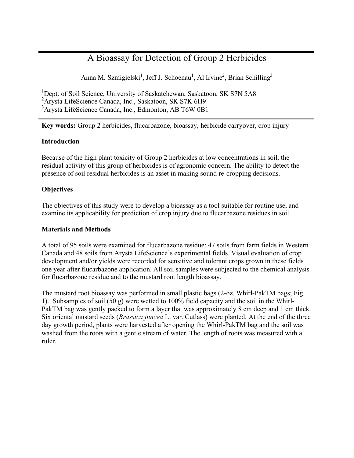# A Bioassay for Detection of Group 2 Herbicides

Anna M. Szmigielski<sup>1</sup>, Jeff J. Schoenau<sup>1</sup>, Al Irvine<sup>2</sup>, Brian Schilling<sup>3</sup>

<sup>1</sup>Dept. of Soil Science, University of Saskatchewan, Saskatoon, SK S7N 5A8 <sup>2</sup> Arysta LifeScience Canada, Inc., Saskatoon, SK S7K 6H9 3 Arysta LifeScience Canada, Inc., Edmonton, AB T6W 0B1

**Key words:** Group 2 herbicides, flucarbazone, bioassay, herbicide carryover, crop injury

## **Introduction**

Because of the high plant toxicity of Group 2 herbicides at low concentrations in soil, the residual activity of this group of herbicides is of agronomic concern. The ability to detect the presence of soil residual herbicides is an asset in making sound re-cropping decisions.

## **Objectives**

The objectives of this study were to develop a bioassay as a tool suitable for routine use, and examine its applicability for prediction of crop injury due to flucarbazone residues in soil.

#### **Materials and Methods**

A total of 95 soils were examined for flucarbazone residue: 47 soils from farm fields in Western Canada and 48 soils from Arysta LifeScience's experimental fields. Visual evaluation of crop development and/or yields were recorded for sensitive and tolerant crops grown in these fields one year after flucarbazone application. All soil samples were subjected to the chemical analysis for flucarbazone residue and to the mustard root length bioassay.

The mustard root bioassay was performed in small plastic bags (2-oz. Whirl-PakTM bags; Fig. 1). Subsamples of soil (50 g) were wetted to 100% field capacity and the soil in the Whirl-PakTM bag was gently packed to form a layer that was approximately 8 cm deep and 1 cm thick. Six oriental mustard seeds (*Brassica juncea* L. var. Cutlass) were planted. At the end of the three day growth period, plants were harvested after opening the Whirl-PakTM bag and the soil was washed from the roots with a gentle stream of water. The length of roots was measured with a ruler.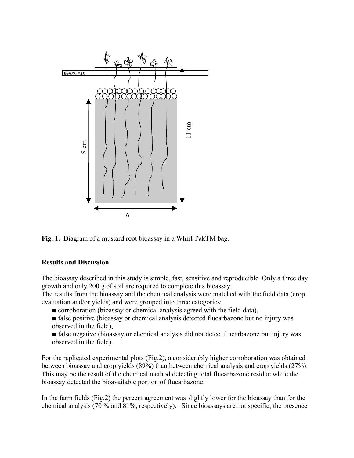

**Fig. 1.** Diagram of a mustard root bioassay in a Whirl-PakTM bag.

#### **Results and Discussion**

The bioassay described in this study is simple, fast, sensitive and reproducible. Only a three day growth and only 200 g of soil are required to complete this bioassay.

The results from the bioassay and the chemical analysis were matched with the field data (crop evaluation and/or yields) and were grouped into three categories:

- corroboration (bioassay or chemical analysis agreed with the field data),
- false positive (bioassay or chemical analysis detected flucarbazone but no injury was observed in the field),
- false negative (bioassay or chemical analysis did not detect flucarbazone but injury was observed in the field).

For the replicated experimental plots (Fig.2), a considerably higher corroboration was obtained between bioassay and crop yields (89%) than between chemical analysis and crop yields (27%). This may be the result of the chemical method detecting total flucarbazone residue while the bioassay detected the bioavailable portion of flucarbazone.

In the farm fields (Fig.2) the percent agreement was slightly lower for the bioassay than for the chemical analysis (70 % and 81%, respectively). Since bioassays are not specific, the presence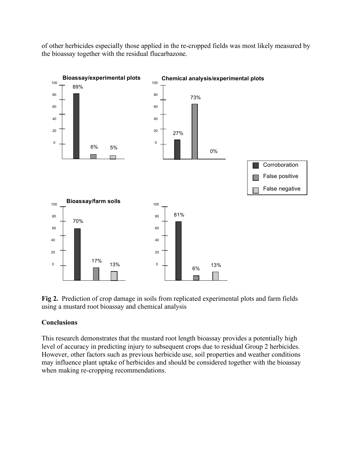of other herbicides especially those applied in the re-cropped fields was most likely measured by the bioassay together with the residual flucarbazone.



**Fig 2.** Prediction of crop damage in soils from replicated experimental plots and farm fields using a mustard root bioassay and chemical analysis

#### **Conclusions**

This research demonstrates that the mustard root length bioassay provides a potentially high level of accuracy in predicting injury to subsequent crops due to residual Group 2 herbicides. However, other factors such as previous herbicide use, soil properties and weather conditions may influence plant uptake of herbicides and should be considered together with the bioassay when making re-cropping recommendations.